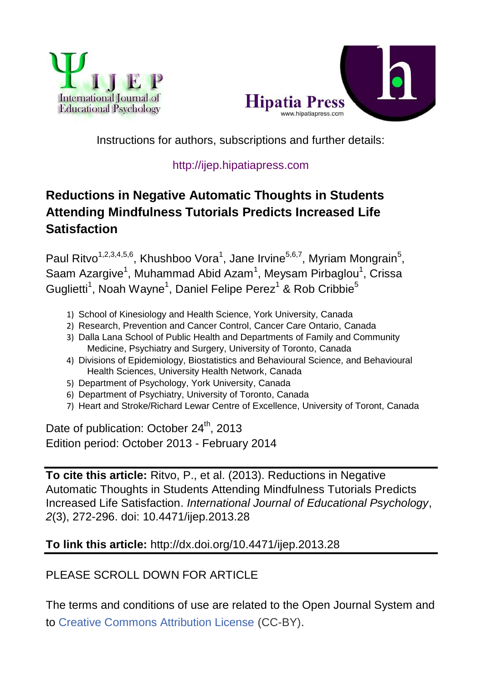



Instructions for authors, subscriptions and further details:

## [http://ijep.hipatiapress.com](http://ijep.hipatiapress.com/)

# **Reductions in Negative Automatic Thoughts in Students Attending Mindfulness Tutorials Predicts Increased Life Satisfaction**

Paul Ritvo<sup>1,2,3,4,5,6</sup>, Khushboo Vora<sup>1</sup>, Jane Irvine<sup>5,6,7</sup>, Myriam Mongrain<sup>5</sup>, Saam Azargive<sup>1</sup>, Muhammad Abid Azam<sup>1</sup>, Meysam Pirbaglou<sup>1</sup>, Crissa Guglietti<sup>1</sup>, Noah Wayne<sup>1</sup>, Daniel Felipe Perez<sup>1</sup> & Rob Cribbie<sup>5</sup>

- 1) School of Kinesiology and Health Science, York University, Canada
- 2) Research, Prevention and Cancer Control, Cancer Care Ontario, Canada
- 3) Dalla Lana School of Public Health and Departments of Family and Community Medicine, Psychiatry and Surgery, University of Toronto, Canada
- 4) Divisions of Epidemiology, Biostatistics and Behavioural Science, and Behavioural Health Sciences, University Health Network, Canada
- 5) Department of Psychology, York University, Canada
- 6) Department of Psychiatry, University of Toronto, Canada
- 7) Heart and Stroke/Richard Lewar Centre of Excellence, University of Toront, Canada

Date of publication: October 24<sup>th</sup>, 2013 Edition period: October 2013 - February 2014

**To cite this article:** Ritvo, P., et al. (2013). Reductions in Negative Automatic Thoughts in Students Attending Mindfulness Tutorials Predicts Increased Life Satisfaction. *International Journal of Educational Psychology*, *2*(3), 272-296. doi: 10.4471/ijep.2013.28

# **To link this article:** <http://dx.doi.org/10.4471/ijep.2013.28>

# PLEASE SCROLL DOWN FOR ARTICLE

The terms and conditions of use are related to the Open Journal System and to [Creative Commons Attribution License](http://creativecommons.org/licenses/by/4.0/) (CC-BY).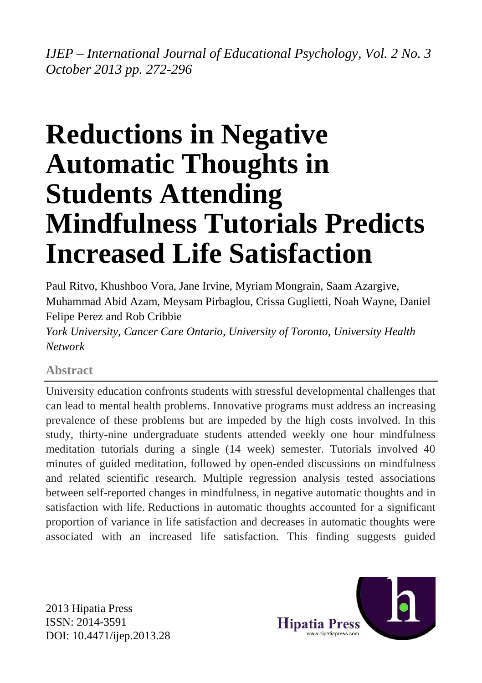*IJEP – International Journal of Educational Psychology, Vol. 2 No. 3 October 2013 pp. 272-296*

# **Reductions in Negative Automatic Thoughts in Students Attending Mindfulness Tutorials Predicts Increased Life Satisfaction**

Paul Ritvo, Khushboo Vora, Jane Irvine, Myriam Mongrain, Saam Azargive, Muhammad Abid Azam, Meysam Pirbaglou, Crissa Guglietti, Noah Wayne, Daniel Felipe Perez and Rob Cribbie

*York University, Cancer Care Ontario, University of Toronto, University Health Network*

## **Abstract**

University education confronts students with stressful developmental challenges that can lead to mental health problems. Innovative programs must address an increasing prevalence of these problems but are impeded by the high costs involved. In this study, thirty-nine undergraduate students attended weekly one hour mindfulness meditation tutorials during a single (14 week) semester. Tutorials involved 40 minutes of guided meditation, followed by open-ended discussions on mindfulness and related scientific research. Multiple regression analysis tested associations between self-reported changes in mindfulness, in negative automatic thoughts and in satisfaction with life. Reductions in automatic thoughts accounted for a significant proportion of variance in life satisfaction and decreases in automatic thoughts were associated with an increased life satisfaction. This finding suggests guided

2013 Hipatia Press ISSN: 2014-3591 DOI: 10.4471/ijep.2013.28

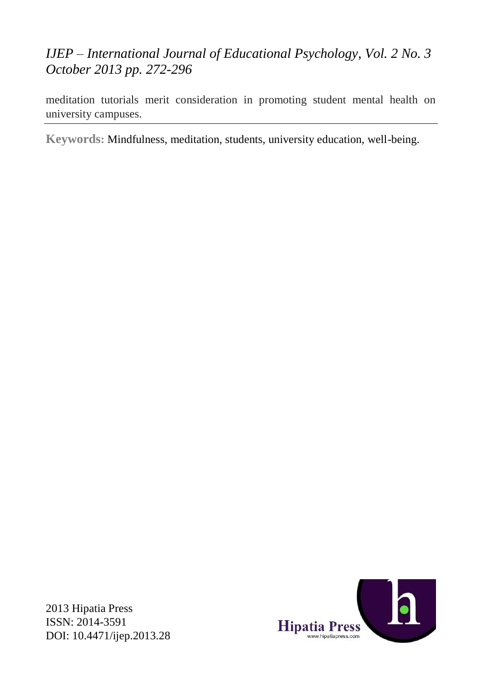# *IJEP – International Journal of Educational Psychology, Vol. 2 No. 3 October 2013 pp. 272-296*

meditation tutorials merit consideration in promoting student mental health on university campuses.

**Keywords:** Mindfulness, meditation, students, university education, well-being.



2013 Hipatia Press ISSN: 2014-3591 DOI: 10.4471/ijep.2013.28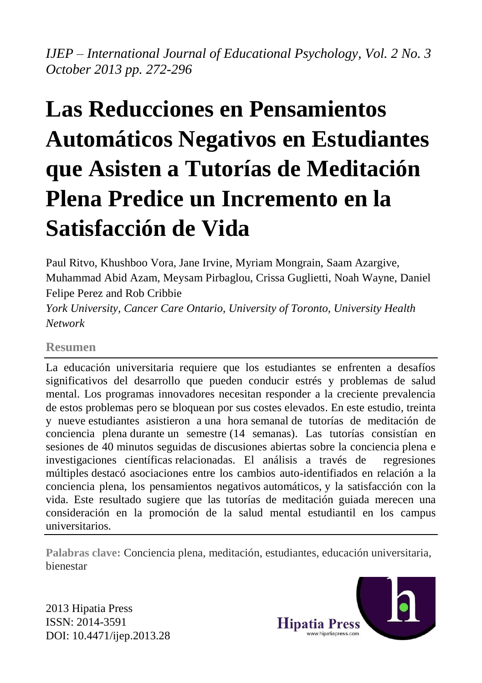*IJEP – International Journal of Educational Psychology, Vol. 2 No. 3 October 2013 pp. 272-296*

# **Las Reducciones en Pensamientos Automáticos Negativos en Estudiantes que Asisten a Tutorías de Meditación Plena Predice un Incremento en la Satisfacción de Vida**

Paul Ritvo, Khushboo Vora, Jane Irvine, Myriam Mongrain, Saam Azargive, Muhammad Abid Azam, Meysam Pirbaglou, Crissa Guglietti, Noah Wayne, Daniel Felipe Perez and Rob Cribbie

*York University, Cancer Care Ontario, University of Toronto, University Health Network*

#### **Resumen**

La educación universitaria requiere que los estudiantes se enfrenten a desafíos significativos del desarrollo que pueden conducir estrés y problemas de salud mental. Los programas innovadores necesitan responder a la creciente prevalencia de estos problemas pero se bloquean por sus costes elevados. En este estudio, treinta y nueve estudiantes asistieron a una hora semanal de tutorías de meditación de conciencia plena durante un semestre (14 semanas). Las tutorías consistían en sesiones de 40 minutos seguidas de discusiones abiertas sobre la conciencia plena e investigaciones científicas relacionadas. El análisis a través de regresiones múltiples destacó asociaciones entre los cambios auto-identifiados en relación a la conciencia plena, los pensamientos negativos automáticos, y la satisfacción con la vida. Este resultado sugiere que las tutorías de meditación guiada merecen una consideración en la promoción de la salud mental estudiantil en los campus universitarios.

**Palabras clave:** Conciencia plena, meditación, estudiantes, educación universitaria, bienestar

2013 Hipatia Press ISSN: 2014-3591 DOI: 10.4471/ijep.2013.28

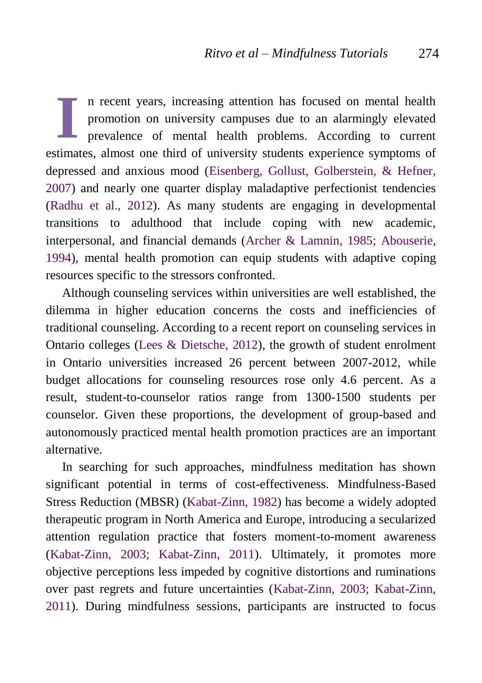n recent years, increasing attention has focused on mental health promotion on university campuses due to an alarmingly elevated prevalence of mental health problems. According to current estimates, almost one third of university students experience symptoms of depressed and anxious mood [\(Eisenberg, Gollust, Golberstein, & Hefner,](#page-16-0)  [2007\)](#page-16-0) and nearly one quarter display maladaptive perfectionist tendencies [\(Radhu et al., 2012\)](#page-23-0). As many students are engaging in developmental transitions to adulthood that include coping with new academic, interpersonal, and financial demands [\(Archer & Lamnin, 1985;](#page-13-0) [Abouserie,](#page-13-1)  [1994\)](#page-13-1), mental health promotion can equip students with adaptive coping resources specific to the stressors confronted. **I**

Although counseling services within universities are well established, the dilemma in higher education concerns the costs and inefficiencies of traditional counseling. According to a recent report on counseling services in Ontario colleges [\(Lees & Dietsche, 2012\)](#page-20-0), the growth of student enrolment in Ontario universities increased 26 percent between 2007-2012, while budget allocations for counseling resources rose only 4.6 percent. As a result, student-to-counselor ratios range from 1300-1500 students per counselor. Given these proportions, the development of group-based and autonomously practiced mental health promotion practices are an important alternative.

In searching for such approaches, mindfulness meditation has shown significant potential in terms of cost-effectiveness. Mindfulness-Based Stress Reduction (MBSR) [\(Kabat-Zinn, 1982\)](#page-19-0) has become a widely adopted therapeutic program in North America and Europe, introducing a secularized attention regulation practice that fosters moment-to-moment awareness [\(Kabat-Zinn, 2003;](#page-19-1) [Kabat-Zinn, 2011\)](#page-19-2). Ultimately, it promotes more objective perceptions less impeded by cognitive distortions and ruminations over past regrets and future uncertainties [\(Kabat-Zinn, 2003;](#page-19-1) [Kabat-Zinn,](#page-19-2)  [2011\)](#page-19-2). During mindfulness sessions, participants are instructed to focus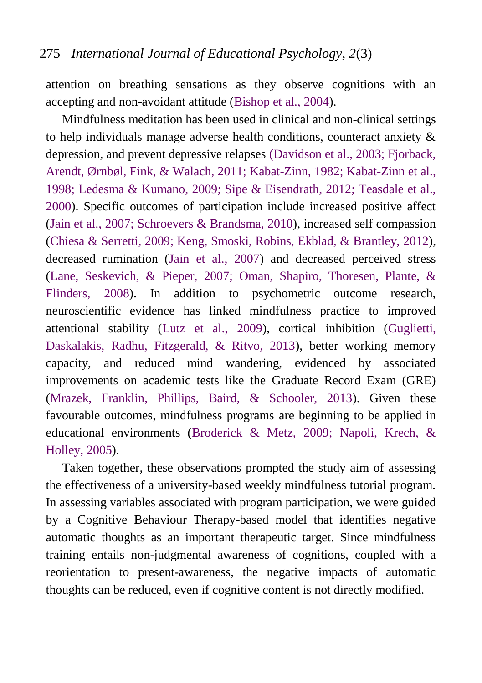attention on breathing sensations as they observe cognitions with an accepting and non-avoidant attitude [\(Bishop et al., 2004\)](#page-14-0).

Mindfulness meditation has been used in clinical and non-clinical settings to help individuals manage adverse health conditions, counteract anxiety & depression, and prevent depressive relapses [\(Davidson et al., 2003;](#page-16-1) [Fjorback,](#page-17-0)  [Arendt, Ørnbøl, Fink, & Walach, 2011;](#page-17-0) [Kabat-Zinn, 1982;](#page-19-0) [Kabat-Zinn et al.,](#page-19-3)  [1998;](#page-19-3) [Ledesma & Kumano, 2009;](#page-20-1) [Sipe & Eisendrath, 2012;](#page-24-0) [Teasdale et al.,](#page-25-0)  [2000\)](#page-25-0). Specific outcomes of participation include increased positive affect [\(Jain et al., 2007;](#page-19-4) [Schroevers & Brandsma, 2010\)](#page-24-1), increased self compassion [\(Chiesa & Serretti, 2009;](#page-15-0) [Keng, Smoski, Robins, Ekblad, & Brantley, 2012\)](#page-19-5), decreased rumination [\(Jain et al., 2007\)](#page-19-4) and decreased perceived stress [\(Lane, Seskevich, & Pieper, 2007;](#page-20-2) [Oman, Shapiro, Thoresen, Plante, &](#page-23-1)  [Flinders, 2008\)](#page-23-1). In addition to psychometric outcome research, neuroscientific evidence has linked mindfulness practice to improved attentional stability [\(Lutz et al., 2009\)](#page-21-0), cortical inhibition [\(Guglietti,](#page-18-0)  [Daskalakis, Radhu, Fitzgerald, & Ritvo, 2013\)](#page-18-0), better working memory capacity, and reduced mind wandering, evidenced by associated improvements on academic tests like the Graduate Record Exam (GRE) [\(Mrazek, Franklin, Phillips, Baird, & Schooler, 2013\)](#page-22-0). Given these favourable outcomes, mindfulness programs are beginning to be applied in educational environments [\(Broderick & Metz, 2009; Napoli, Krech, &](#page-14-1)  [Holley, 2005\)](#page-14-1).

Taken together, these observations prompted the study aim of assessing the effectiveness of a university-based weekly mindfulness tutorial program. In assessing variables associated with program participation, we were guided by a Cognitive Behaviour Therapy-based model that identifies negative automatic thoughts as an important therapeutic target. Since mindfulness training entails non-judgmental awareness of cognitions, coupled with a reorientation to present-awareness, the negative impacts of automatic thoughts can be reduced, even if cognitive content is not directly modified.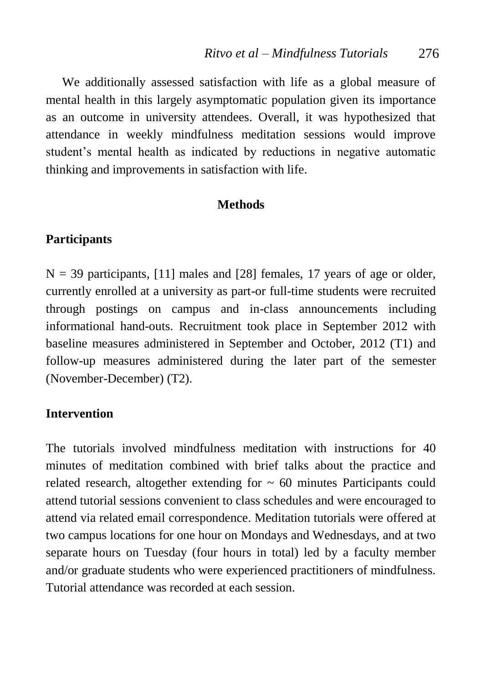We additionally assessed satisfaction with life as a global measure of mental health in this largely asymptomatic population given its importance as an outcome in university attendees. Overall, it was hypothesized that attendance in weekly mindfulness meditation sessions would improve student's mental health as indicated by reductions in negative automatic thinking and improvements in satisfaction with life.

#### **Methods**

#### **Participants**

 $N = 39$  participants, [11] males and [28] females, 17 years of age or older, currently enrolled at a university as part-or full-time students were recruited through postings on campus and in-class announcements including informational hand-outs. Recruitment took place in September 2012 with baseline measures administered in September and October, 2012 (T1) and follow-up measures administered during the later part of the semester (November-December) (T2).

#### **Intervention**

The tutorials involved mindfulness meditation with instructions for 40 minutes of meditation combined with brief talks about the practice and related research, altogether extending for  $\sim 60$  minutes Participants could attend tutorial sessions convenient to class schedules and were encouraged to attend via related email correspondence. Meditation tutorials were offered at two campus locations for one hour on Mondays and Wednesdays, and at two separate hours on Tuesday (four hours in total) led by a faculty member and/or graduate students who were experienced practitioners of mindfulness. Tutorial attendance was recorded at each session.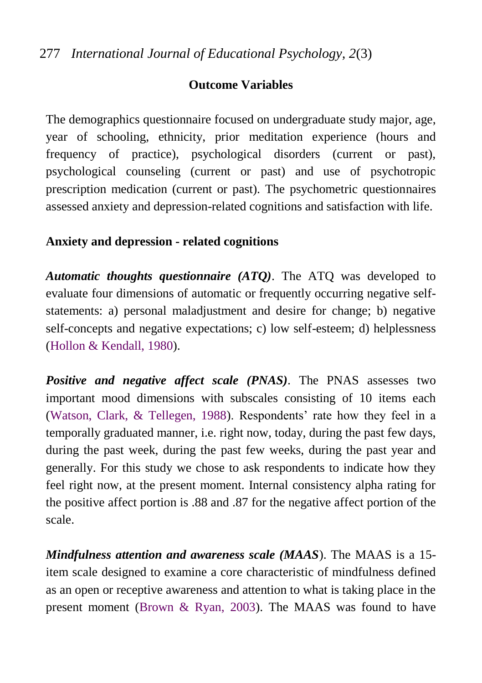# **Outcome Variables**

The demographics questionnaire focused on undergraduate study major, age, year of schooling, ethnicity, prior meditation experience (hours and frequency of practice), psychological disorders (current or past), psychological counseling (current or past) and use of psychotropic prescription medication (current or past). The psychometric questionnaires assessed anxiety and depression-related cognitions and satisfaction with life.

## **Anxiety and depression - related cognitions**

*Automatic thoughts questionnaire (ATQ)*. The ATQ was developed to evaluate four dimensions of automatic or frequently occurring negative selfstatements: a) personal maladjustment and desire for change; b) negative self-concepts and negative expectations; c) low self-esteem; d) helplessness [\(Hollon & Kendall, 1980\)](#page-18-1).

*Positive and negative affect scale (PNAS)*. The PNAS assesses two important mood dimensions with subscales consisting of 10 items each [\(Watson, Clark, & Tellegen, 1988\)](#page-26-0). Respondents' rate how they feel in a temporally graduated manner, i.e. right now, today, during the past few days, during the past week, during the past few weeks, during the past year and generally. For this study we chose to ask respondents to indicate how they feel right now, at the present moment. Internal consistency alpha rating for the positive affect portion is .88 and .87 for the negative affect portion of the scale.

*Mindfulness attention and awareness scale (MAAS*). The MAAS is a 15 item scale designed to examine a core characteristic of mindfulness defined as an open or receptive awareness and attention to what is taking place in the present moment [\(Brown & Ryan, 2003\)](#page-14-2). The MAAS was found to have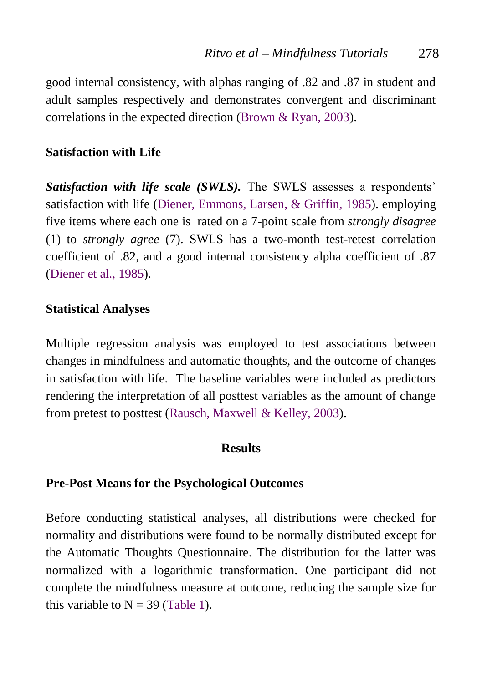good internal consistency, with alphas ranging of .82 and .87 in student and adult samples respectively and demonstrates convergent and discriminant correlations in the expected direction [\(Brown & Ryan, 2003\)](#page-14-2).

#### **Satisfaction with Life**

*Satisfaction with life scale (SWLS).* The SWLS assesses a respondents' satisfaction with life [\(Diener, Emmons, Larsen, & Griffin, 1985\)](#page-16-2). employing five items where each one is rated on a 7-point scale from *strongly disagree*  (1) to *strongly agree* (7). SWLS has a two-month test-retest correlation coefficient of .82, and a good internal consistency alpha coefficient of .87 [\(Diener et al., 1985\)](#page-16-2).

## **Statistical Analyses**

Multiple regression analysis was employed to test associations between changes in mindfulness and automatic thoughts, and the outcome of changes in satisfaction with life. The baseline variables were included as predictors rendering the interpretation of all posttest variables as the amount of change from pretest to posttest [\(Rausch, Maxwell & Kelley, 2003\)](#page-23-2).

#### **Results**

## **Pre-Post Means for the Psychological Outcomes**

Before conducting statistical analyses, all distributions were checked for normality and distributions were found to be normally distributed except for the Automatic Thoughts Questionnaire. The distribution for the latter was normalized with a logarithmic transformation. One participant did not complete the mindfulness measure at outcome, reducing the sample size for this variable to  $N = 39$  [\(Table 1\)](#page-10-0).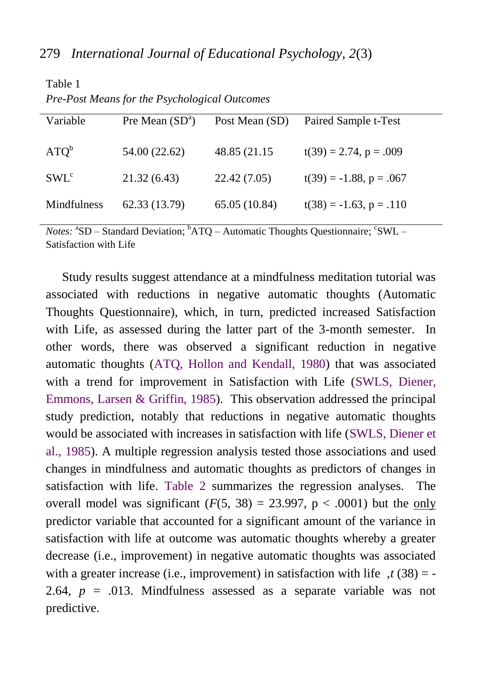| <i>Le-Lost means for the Esychological Outcomes</i> |                   |                |                              |  |  |
|-----------------------------------------------------|-------------------|----------------|------------------------------|--|--|
| Variable                                            | Pre Mean $(SD^a)$ | Post Mean (SD) | Paired Sample t-Test         |  |  |
|                                                     |                   |                |                              |  |  |
| ATO <sup>b</sup>                                    | 54.00 (22.62)     | 48.85 (21.15)  | $t(39) = 2.74$ , $p = .009$  |  |  |
|                                                     |                   |                |                              |  |  |
| $SWL^c$                                             | 21.32(6.43)       | 22.42(7.05)    | $t(39) = -1.88$ , $p = .067$ |  |  |
|                                                     |                   |                |                              |  |  |
| Mindfulness                                         | 62.33 (13.79)     | 65.05 (10.84)  | $t(38) = -1.63$ , $p = .110$ |  |  |
|                                                     |                   |                |                              |  |  |

*Pre-Post Means for the Psychological Outcomes*

<span id="page-10-0"></span>Table 1

Notes: <sup>a</sup>SD – Standard Deviation; <sup>b</sup>ATQ – Automatic Thoughts Questionnaire; <sup>c</sup>SWL – Satisfaction with Life

Study results suggest attendance at a mindfulness meditation tutorial was associated with reductions in negative automatic thoughts (Automatic Thoughts Questionnaire), which, in turn, predicted increased Satisfaction with Life, as assessed during the latter part of the 3-month semester. In other words, there was observed a significant reduction in negative automatic thoughts (ATQ, [Hollon and Kendall, 1980\)](#page-18-1) that was associated with a trend for improvement in Satisfaction with Life (SWLS, Diener, [Emmons, Larsen & Griffin, 1985\)](#page-16-2). This observation addressed the principal study prediction, notably that reductions in negative automatic thoughts would be associated with increases in satisfaction with life (SWLS, [Diener et](#page-16-2)  [al., 1985\)](#page-16-2). A multiple regression analysis tested those associations and used changes in mindfulness and automatic thoughts as predictors of changes in satisfaction with life. [Table 2](#page-11-0) summarizes the regression analyses. The overall model was significant  $(F(5, 38) = 23.997, p < .0001)$  but the only predictor variable that accounted for a significant amount of the variance in satisfaction with life at outcome was automatic thoughts whereby a greater decrease (i.e., improvement) in negative automatic thoughts was associated with a greater increase (i.e., improvement) in satisfaction with life  $\tau$  (38) = -2.64,  $p = .013$ . Mindfulness assessed as a separate variable was not predictive.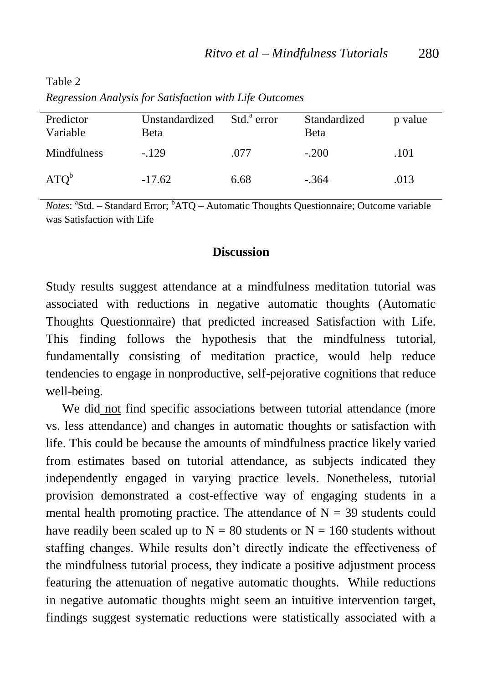<span id="page-11-0"></span>Table 2

| Predictor<br>Variable | Unstandardized<br>Beta | Std. <sup>a</sup> error | Standardized<br>Beta | p value |
|-----------------------|------------------------|-------------------------|----------------------|---------|
| Mindfulness           | $-129$                 | .077                    | $-.200$              | .101    |
| ATO <sup>b</sup>      | $-17.62$               | 6.68                    | $-.364$              | .013    |

*Regression Analysis for Satisfaction with Life Outcomes*

Notes: <sup>a</sup>Std. – Standard Error; <sup>b</sup>ATQ – Automatic Thoughts Questionnaire; Outcome variable was Satisfaction with Life

#### **Discussion**

Study results suggest attendance at a mindfulness meditation tutorial was associated with reductions in negative automatic thoughts (Automatic Thoughts Questionnaire) that predicted increased Satisfaction with Life. This finding follows the hypothesis that the mindfulness tutorial, fundamentally consisting of meditation practice, would help reduce tendencies to engage in nonproductive, self-pejorative cognitions that reduce well-being.

We did not find specific associations between tutorial attendance (more vs. less attendance) and changes in automatic thoughts or satisfaction with life. This could be because the amounts of mindfulness practice likely varied from estimates based on tutorial attendance, as subjects indicated they independently engaged in varying practice levels. Nonetheless, tutorial provision demonstrated a cost-effective way of engaging students in a mental health promoting practice. The attendance of  $N = 39$  students could have readily been scaled up to  $N = 80$  students or  $N = 160$  students without staffing changes. While results don't directly indicate the effectiveness of the mindfulness tutorial process, they indicate a positive adjustment process featuring the attenuation of negative automatic thoughts. While reductions in negative automatic thoughts might seem an intuitive intervention target, findings suggest systematic reductions were statistically associated with a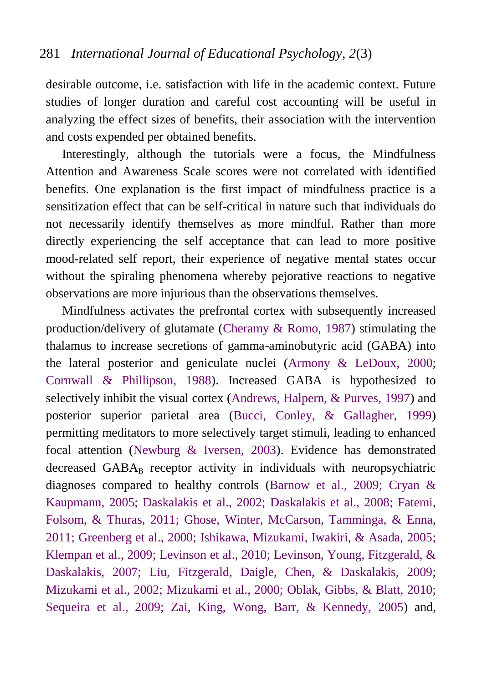desirable outcome, i.e. satisfaction with life in the academic context. Future studies of longer duration and careful cost accounting will be useful in analyzing the effect sizes of benefits, their association with the intervention and costs expended per obtained benefits.

Interestingly, although the tutorials were a focus, the Mindfulness Attention and Awareness Scale scores were not correlated with identified benefits. One explanation is the first impact of mindfulness practice is a sensitization effect that can be self-critical in nature such that individuals do not necessarily identify themselves as more mindful. Rather than more directly experiencing the self acceptance that can lead to more positive mood-related self report, their experience of negative mental states occur without the spiraling phenomena whereby pejorative reactions to negative observations are more injurious than the observations themselves.

Mindfulness activates the prefrontal cortex with subsequently increased production/delivery of glutamate [\(Cheramy & Romo, 1987\)](#page-14-3) stimulating the thalamus to increase secretions of gamma-aminobutyric acid (GABA) into the lateral posterior and geniculate nuclei [\(Armony & LeDoux, 2000;](#page-14-4) [Cornwall & Phillipson, 1988\)](#page-15-1). Increased GABA is hypothesized to selectively inhibit the visual cortex [\(Andrews, Halpern, & Purves, 1997\)](#page-13-2) and posterior superior parietal area [\(Bucci, Conley, & Gallagher, 1999\)](#page-14-5) permitting meditators to more selectively target stimuli, leading to enhanced focal attention [\(Newburg & Iversen, 2003\)](#page-22-1). Evidence has demonstrated decreased  $GABA_B$  receptor activity in individuals with neuropsychiatric diagnoses compared to healthy controls [\(Barnow et al., 2009;](#page-14-6) [Cryan &](#page-15-2)  [Kaupmann, 2005;](#page-15-2) [Daskalakis et al., 2002;](#page-15-3) [Daskalakis et al., 2008;](#page-15-4) [Fatemi,](#page-17-1)  [Folsom, & Thuras, 2011;](#page-17-1) [Ghose, Winter, McCarson, Tamminga, & Enna,](#page-17-2)  [2011;](#page-17-2) [Greenberg et al., 2000;](#page-17-3) [Ishikawa, Mizukami, Iwakiri, & Asada, 2005;](#page-18-2) [Klempan et al., 2009;](#page-20-3) [Levinson et al., 2010;](#page-20-4) [Levinson, Young, Fitzgerald, &](#page-20-5)  [Daskalakis, 2007;](#page-20-5) [Liu, Fitzgerald, Daigle, Chen, & Daskalakis, 2009;](#page-20-6) [Mizukami et al., 2002;](#page-21-1) [Mizukami et al., 2000;](#page-21-2) [Oblak, Gibbs, & Blatt, 2010;](#page-23-3) [Sequeira et al., 2009;](#page-24-2) [Zai, King, Wong, Barr, & Kennedy, 2005\)](#page-26-1) and,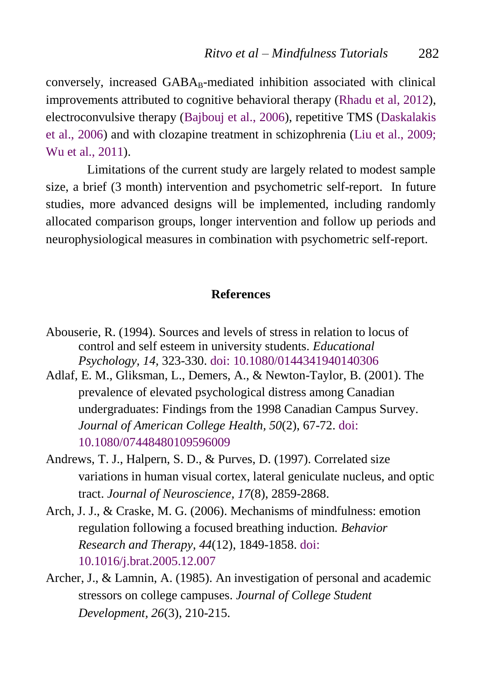conversely, increased  $GABA_B$ -mediated inhibition associated with clinical improvements attributed to cognitive behavioral therapy [\(Rhadu et al, 2012\)](#page-23-0), electroconvulsive therapy [\(Bajbouj et al., 2006\)](#page-14-7), repetitive TMS [\(Daskalakis](#page-16-3)  [et al., 2006\)](#page-16-3) and with clozapine treatment in schizophrenia [\(Liu et al., 2009;](#page-20-6) [Wu et al., 2011\)](#page-26-2).

Limitations of the current study are largely related to modest sample size, a brief (3 month) intervention and psychometric self-report. In future studies, more advanced designs will be implemented, including randomly allocated comparison groups, longer intervention and follow up periods and neurophysiological measures in combination with psychometric self-report.

#### **References**

- <span id="page-13-1"></span>Abouserie, R. (1994). Sources and levels of stress in relation to locus of control and self esteem in university students. *Educational Psychology, 14,* 323-330. doi: [10.1080/0144341940140306](http://www.tandfonline.com/doi/abs/10.1080/0144341940140306#.Uk9BPWTbIhE)
- Adlaf, E. M., Gliksman, L., Demers, A., & Newton-Taylor, B. (2001). The prevalence of elevated psychological distress among Canadian undergraduates: Findings from the 1998 Canadian Campus Survey. *Journal of American College Health, 50*(2), 67-72. [doi:](http://www.tandfonline.com/doi/abs/10.1080/07448480109596009?journalCode=vach20#.UlF7FGTbJ3c)  [10.1080/07448480109596009](http://www.tandfonline.com/doi/abs/10.1080/07448480109596009?journalCode=vach20#.UlF7FGTbJ3c)
- <span id="page-13-2"></span>Andrews, T. J., Halpern, S. D., & Purves, D. (1997). Correlated size variations in human visual cortex, lateral geniculate nucleus, and optic tract. *Journal of Neuroscience, 17*(8), 2859-2868.
- Arch, J. J., & Craske, M. G. (2006). Mechanisms of mindfulness: emotion regulation following a focused breathing induction*. Behavior Research and Therapy, 44*(12), 1849-1858. [doi:](http://psych.colorado.edu/~clinical/arch/docs/Arch%20&%20Craske,%202006%20mechanisms%20of%20mindfulness.pdf)  [10.1016/j.brat.2005.12.007](http://psych.colorado.edu/~clinical/arch/docs/Arch%20&%20Craske,%202006%20mechanisms%20of%20mindfulness.pdf)
- <span id="page-13-0"></span>Archer, J., & Lamnin, A. (1985). An investigation of personal and academic stressors on college campuses. *Journal of College Student Development, 26*(3), 210-215.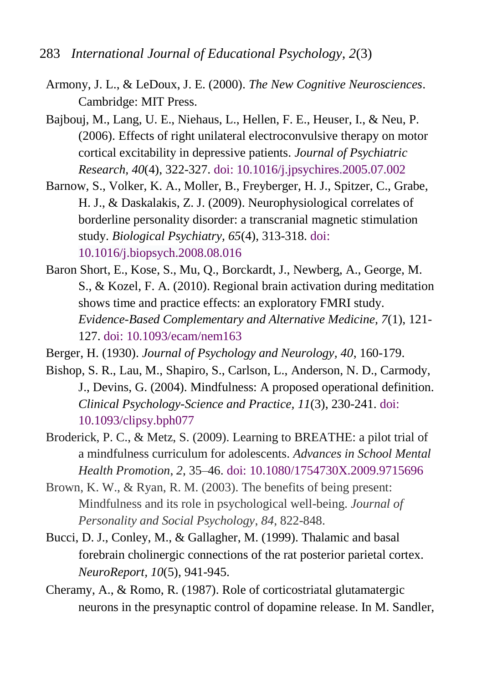- <span id="page-14-7"></span><span id="page-14-6"></span><span id="page-14-5"></span><span id="page-14-4"></span><span id="page-14-3"></span><span id="page-14-2"></span><span id="page-14-1"></span><span id="page-14-0"></span>283 *International Journal of Educational Psychology, 2*(3)
	- Armony, J. L., & LeDoux, J. E. (2000). *The New Cognitive Neurosciences*. Cambridge: MIT Press.
	- Bajbouj, M., Lang, U. E., Niehaus, L., Hellen, F. E., Heuser, I., & Neu, P. (2006). Effects of right unilateral electroconvulsive therapy on motor cortical excitability in depressive patients. *Journal of Psychiatric Research, 40*(4), 322-327. doi: [10.1016/j.jpsychires.2005.07.002](http://dx.doi.org/10.1016/j.jpsychires.2005.07.002)
	- Barnow, S., Volker, K. A., Moller, B., Freyberger, H. J., Spitzer, C., Grabe, H. J., & Daskalakis, Z. J. (2009). Neurophysiological correlates of borderline personality disorder: a transcranial magnetic stimulation study. *Biological Psychiatry, 65*(4), 313-318. doi: [10.1016/j.biopsych.2008.08.016](http://dx.doi.org/10.1016/j.biopsych.2008.08.016)
	- Baron Short, E., Kose, S., Mu, Q., Borckardt, J., Newberg, A., George, M. S., & Kozel, F. A. (2010). Regional brain activation during meditation shows time and practice effects: an exploratory FMRI study. *Evidence-Based Complementary and Alternative Medicine, 7*(1), 121- 127. doi: [10.1093/ecam/nem163](http://dx.doi.org/10.1093%2Fecam%2Fnem163)
	- Berger, H. (1930). *Journal of Psychology and Neurology, 40*, 160-179.
	- Bishop, S. R., Lau, M., Shapiro, S., Carlson, L., Anderson, N. D., Carmody, J., Devins, G. (2004). Mindfulness: A proposed operational definition. *Clinical Psychology-Science and Practice, 11*(3), 230-241. [doi:](http://onlinelibrary.wiley.com/doi/10.1093/clipsy.bph077/abstract)  [10.1093/clipsy.bph077](http://onlinelibrary.wiley.com/doi/10.1093/clipsy.bph077/abstract)
	- Broderick, P. C., & Metz, S. (2009). Learning to BREATHE: a pilot trial of a mindfulness curriculum for adolescents. *Advances in School Mental Health Promotion*, *2*, 35–46. [doi: 10.1080/1754730X.2009.9715696](http://www.tandfonline.com/doi/abs/10.1080/1754730X.2009.9715696#.UlGAp2TbJ3c)
	- Brown, K. W., & Ryan, R. M. (2003). The benefits of being present: Mindfulness and its role in psychological well-being. *Journal of Personality and Social Psychology*, *84*, 822-848.
	- Bucci, D. J., Conley, M., & Gallagher, M. (1999). Thalamic and basal forebrain cholinergic connections of the rat posterior parietal cortex. *NeuroReport, 10*(5), 941-945.
	- Cheramy, A., & Romo, R. (1987). Role of corticostriatal glutamatergic neurons in the presynaptic control of dopamine release. In M. Sandler,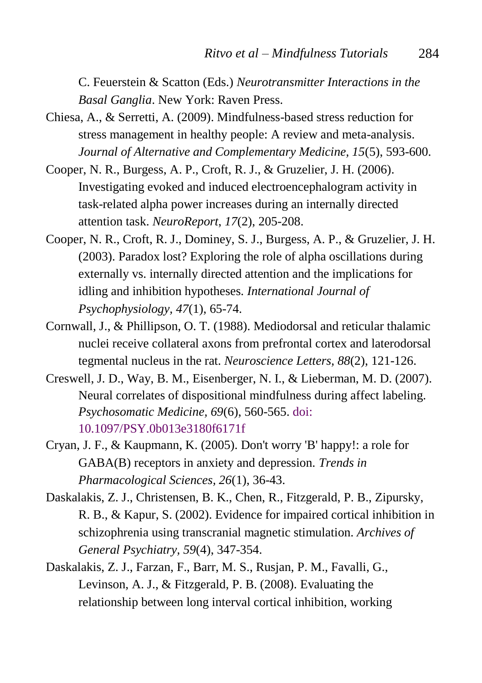C. Feuerstein & Scatton (Eds.) *Neurotransmitter Interactions in the Basal Ganglia*. New York: Raven Press.

- <span id="page-15-0"></span>Chiesa, A., & Serretti, A. (2009). Mindfulness-based stress reduction for stress management in healthy people: A review and meta-analysis. *Journal of Alternative and Complementary Medicine, 15*(5), 593-600.
- Cooper, N. R., Burgess, A. P., Croft, R. J., & Gruzelier, J. H. (2006). Investigating evoked and induced electroencephalogram activity in task-related alpha power increases during an internally directed attention task. *NeuroReport*, *17*(2), 205-208.
- Cooper, N. R., Croft, R. J., Dominey, S. J., Burgess, A. P., & Gruzelier, J. H. (2003). Paradox lost? Exploring the role of alpha oscillations during externally vs. internally directed attention and the implications for idling and inhibition hypotheses. *International Journal of Psychophysiology, 47*(1), 65-74.
- <span id="page-15-1"></span>Cornwall, J., & Phillipson, O. T. (1988). Mediodorsal and reticular thalamic nuclei receive collateral axons from prefrontal cortex and laterodorsal tegmental nucleus in the rat. *Neuroscience Letters, 88*(2), 121-126.
- Creswell, J. D., Way, B. M., Eisenberger, N. I., & Lieberman, M. D. (2007). Neural correlates of dispositional mindfulness during affect labeling. *Psychosomatic Medicine, 69*(6), 560-565. [doi:](http://www.ncbi.nlm.nih.gov/pubmed/17634566)  [10.1097/PSY.0b013e3180f6171f](http://www.ncbi.nlm.nih.gov/pubmed/17634566)
- <span id="page-15-2"></span>Cryan, J. F., & Kaupmann, K. (2005). Don't worry 'B' happy!: a role for GABA(B) receptors in anxiety and depression. *Trends in Pharmacological Sciences, 26*(1), 36-43.
- <span id="page-15-3"></span>Daskalakis, Z. J., Christensen, B. K., Chen, R., Fitzgerald, P. B., Zipursky, R. B., & Kapur, S. (2002). Evidence for impaired cortical inhibition in schizophrenia using transcranial magnetic stimulation. *Archives of General Psychiatry, 59*(4), 347-354.
- <span id="page-15-4"></span>Daskalakis, Z. J., Farzan, F., Barr, M. S., Rusjan, P. M., Favalli, G., Levinson, A. J., & Fitzgerald, P. B. (2008). Evaluating the relationship between long interval cortical inhibition, working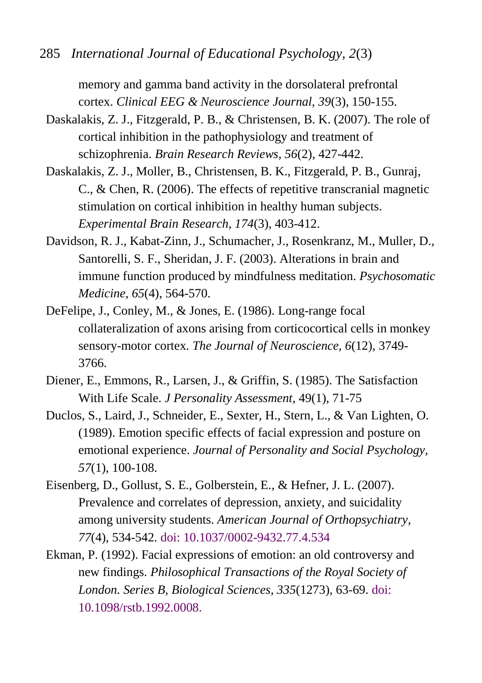285 *International Journal of Educational Psychology, 2*(3)

memory and gamma band activity in the dorsolateral prefrontal cortex. *Clinical EEG & Neuroscience Journal, 39*(3), 150-155.

- Daskalakis, Z. J., Fitzgerald, P. B., & Christensen, B. K. (2007). The role of cortical inhibition in the pathophysiology and treatment of schizophrenia. *Brain Research Reviews, 56*(2), 427-442.
- <span id="page-16-3"></span>Daskalakis, Z. J., Moller, B., Christensen, B. K., Fitzgerald, P. B., Gunraj, C., & Chen, R. (2006). The effects of repetitive transcranial magnetic stimulation on cortical inhibition in healthy human subjects. *Experimental Brain Research, 174*(3), 403-412.
- <span id="page-16-1"></span>Davidson, R. J., Kabat-Zinn, J., Schumacher, J., Rosenkranz, M., Muller, D., Santorelli, S. F., Sheridan, J. F. (2003). Alterations in brain and immune function produced by mindfulness meditation. *Psychosomatic Medicine, 65*(4), 564-570.
- DeFelipe, J., Conley, M., & Jones, E. (1986). Long-range focal collateralization of axons arising from corticocortical cells in monkey sensory-motor cortex. *The Journal of Neuroscience, 6*(12), 3749- 3766.
- <span id="page-16-2"></span>Diener, E., Emmons, R., Larsen, J., & Griffin, S. (1985). The Satisfaction With Life Scale. *J Personality Assessment*, 49(1), 71-75
- Duclos, S., Laird, J., Schneider, E., Sexter, H., Stern, L., & Van Lighten, O. (1989). Emotion specific effects of facial expression and posture on emotional experience. *Journal of Personality and Social Psychology, 57*(1), 100-108.
- <span id="page-16-0"></span>Eisenberg, D., Gollust, S. E., Golberstein, E., & Hefner, J. L. (2007). Prevalence and correlates of depression, anxiety, and suicidality among university students. *American Journal of Orthopsychiatry, 77*(4), 534-542. doi: [10.1037/0002-9432.77.4.534](http://onlinelibrary.wiley.com/doi/10.1037/0002-9432.77.4.534/abstract)
- Ekman, P. (1992). Facial expressions of emotion: an old controversy and new findings. *Philosophical Transactions of the Royal Society of London. Series B, Biological Sciences, 335*(1273), 63-69[. doi:](http://www.jstor.org/discover/10.2307/55476?uid=3737952&uid=2&uid=4&sid=21102804432817)  [10.1098/rstb.1992.0008](http://www.jstor.org/discover/10.2307/55476?uid=3737952&uid=2&uid=4&sid=21102804432817).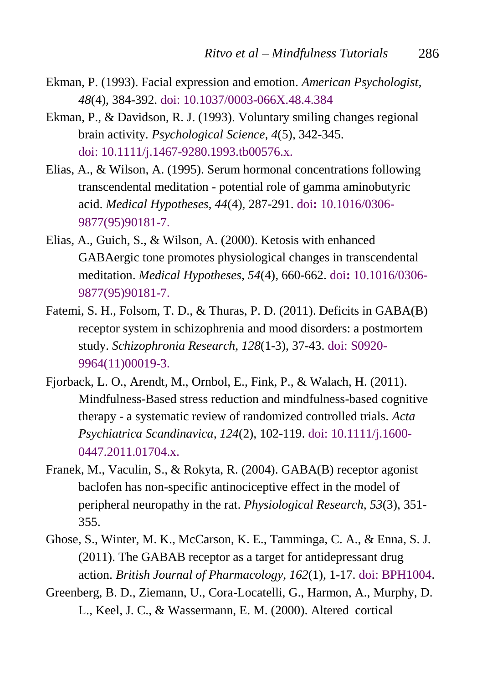- Ekman, P. (1993). Facial expression and emotion. *American Psychologist, 48*(4), 384-392. doi: [10.1037/0003-066X.48.4.384](http://psycnet.apa.org/index.cfm?fa=buy.optionToBuy&uid=1993-32252-001)
- Ekman, P., & Davidson, R. J. (1993). Voluntary smiling changes regional brain activity. *Psychological Science, 4*(5), 342-345. doi: [10.1111/j.1467-9280.1993.tb00576.x.](http://pss.sagepub.com/content/4/5/342.sh?patientinform-links=yes&legid=sppss;4/5/342)
- Elias, A., & Wilson, A. (1995). Serum hormonal concentrations following transcendental meditation - potential role of gamma aminobutyric acid. *Medical Hypotheses, 44*(4), 287-291. doi**:** [10.1016/0306-](http://biblio.noetic.org/search.php?sqlQuery=SELECT%20author%2C%20title%2C%20type%2C%20year%2C%20publication%2C%20abbrev_journal%2C%20volume%2C%20issue%2C%20pages%2C%20keywords%2C%20abstract%2C%20address%2C%20corporate_author%2C%20thesis%2C%20publisher%2C%20place%2C%20editor%2C%20language%2C%20summary_language%2C%20orig_title%2C%20series_editor%2C%20series_title%2C%20abbrev_series_title%2C%20series_volume%2C%20series_issue%2C%20edition%2C%20issn%2C%20isbn%2C%20medium%2C%20area%2C%20expedition%2C%20conference%2C%20notes%2C%20approved%2C%20call_number%2C%20serial%20FROM%20refs%20WHERE%20serial%20%3D%2015598%20ORDER%20BY%20author%2C%20year%20DESC%2C%20publication&client=&formType=sqlSearch&submit=Display&viewType=&showQuery=0&showLinks=1&showRows=5&rowOffset=&wrapResults=1&citeOrder=&citeStyle=APA&exportFormat=RIS&exportType=html&exportStylesheet=&citeType=html&headerMsg=) [9877\(95\)90181-7](http://biblio.noetic.org/search.php?sqlQuery=SELECT%20author%2C%20title%2C%20type%2C%20year%2C%20publication%2C%20abbrev_journal%2C%20volume%2C%20issue%2C%20pages%2C%20keywords%2C%20abstract%2C%20address%2C%20corporate_author%2C%20thesis%2C%20publisher%2C%20place%2C%20editor%2C%20language%2C%20summary_language%2C%20orig_title%2C%20series_editor%2C%20series_title%2C%20abbrev_series_title%2C%20series_volume%2C%20series_issue%2C%20edition%2C%20issn%2C%20isbn%2C%20medium%2C%20area%2C%20expedition%2C%20conference%2C%20notes%2C%20approved%2C%20call_number%2C%20serial%20FROM%20refs%20WHERE%20serial%20%3D%2015598%20ORDER%20BY%20author%2C%20year%20DESC%2C%20publication&client=&formType=sqlSearch&submit=Display&viewType=&showQuery=0&showLinks=1&showRows=5&rowOffset=&wrapResults=1&citeOrder=&citeStyle=APA&exportFormat=RIS&exportType=html&exportStylesheet=&citeType=html&headerMsg=).
- Elias, A., Guich, S., & Wilson, A. (2000). Ketosis with enhanced GABAergic tone promotes physiological changes in transcendental meditation. *Medical Hypotheses, 54*(4), 660-662. doi**:** [10.1016/0306-](http://biblio.noetic.org/search.php?sqlQuery=SELECT%20author%2C%20title%2C%20type%2C%20year%2C%20publication%2C%20abbrev_journal%2C%20volume%2C%20issue%2C%20pages%2C%20keywords%2C%20abstract%2C%20address%2C%20corporate_author%2C%20thesis%2C%20publisher%2C%20place%2C%20editor%2C%20language%2C%20summary_language%2C%20orig_title%2C%20series_editor%2C%20series_title%2C%20abbrev_series_title%2C%20series_volume%2C%20series_issue%2C%20edition%2C%20issn%2C%20isbn%2C%20medium%2C%20area%2C%20expedition%2C%20conference%2C%20notes%2C%20approved%2C%20call_number%2C%20serial%20FROM%20refs%20WHERE%20serial%20%3D%2015560%20ORDER%20BY%20author%2C%20year%20DESC%2C%20publication&client=&formType=sqlSearch&submit=Display&viewType=&showQuery=0&showLinks=1&showRows=5&rowOffset=&wrapResults=1&citeOrder=&citeStyle=APA&exportFormat=RIS&exportType=html&exportStylesheet=&citeType=html&headerMsg=) [9877\(95\)90181-7](http://biblio.noetic.org/search.php?sqlQuery=SELECT%20author%2C%20title%2C%20type%2C%20year%2C%20publication%2C%20abbrev_journal%2C%20volume%2C%20issue%2C%20pages%2C%20keywords%2C%20abstract%2C%20address%2C%20corporate_author%2C%20thesis%2C%20publisher%2C%20place%2C%20editor%2C%20language%2C%20summary_language%2C%20orig_title%2C%20series_editor%2C%20series_title%2C%20abbrev_series_title%2C%20series_volume%2C%20series_issue%2C%20edition%2C%20issn%2C%20isbn%2C%20medium%2C%20area%2C%20expedition%2C%20conference%2C%20notes%2C%20approved%2C%20call_number%2C%20serial%20FROM%20refs%20WHERE%20serial%20%3D%2015560%20ORDER%20BY%20author%2C%20year%20DESC%2C%20publication&client=&formType=sqlSearch&submit=Display&viewType=&showQuery=0&showLinks=1&showRows=5&rowOffset=&wrapResults=1&citeOrder=&citeStyle=APA&exportFormat=RIS&exportType=html&exportStylesheet=&citeType=html&headerMsg=).
- <span id="page-17-1"></span>Fatemi, S. H., Folsom, T. D., & Thuras, P. D. (2011). Deficits in GABA(B) receptor system in schizophrenia and mood disorders: a postmortem study. *Schizophronia Research, 128*(1-3), 37-43. [doi: S0920-](http://www.ncbi.nlm.nih.gov/pmc/articles/PMC3085603/) [9964\(11\)00019-3](http://www.ncbi.nlm.nih.gov/pmc/articles/PMC3085603/).
- <span id="page-17-0"></span>Fjorback, L. O., Arendt, M., Ornbol, E., Fink, P., & Walach, H. (2011). Mindfulness-Based stress reduction and mindfulness-based cognitive therapy - a systematic review of randomized controlled trials. *Acta Psychiatrica Scandinavica, 124*(2), 102-119. doi: [10.1111/j.1600-](http://www.ncbi.nlm.nih.gov/pubmedhealth/PMH0033031/) [0447.2011.01704.x](http://www.ncbi.nlm.nih.gov/pubmedhealth/PMH0033031/).
- Franek, M., Vaculin, S., & Rokyta, R. (2004). GABA(B) receptor agonist baclofen has non-specific antinociceptive effect in the model of peripheral neuropathy in the rat. *Physiological Research, 53*(3), 351- 355.
- <span id="page-17-2"></span>Ghose, S., Winter, M. K., McCarson, K. E., Tamminga, C. A., & Enna, S. J. (2011). The GABAB receptor as a target for antidepressant drug action. *British Journal of Pharmacology, 162*(1), 1-17. doi: BPH1004.
- <span id="page-17-3"></span>Greenberg, B. D., Ziemann, U., Cora-Locatelli, G., Harmon, A., Murphy, D. L., Keel, J. C., & Wassermann, E. M. (2000). Altered cortical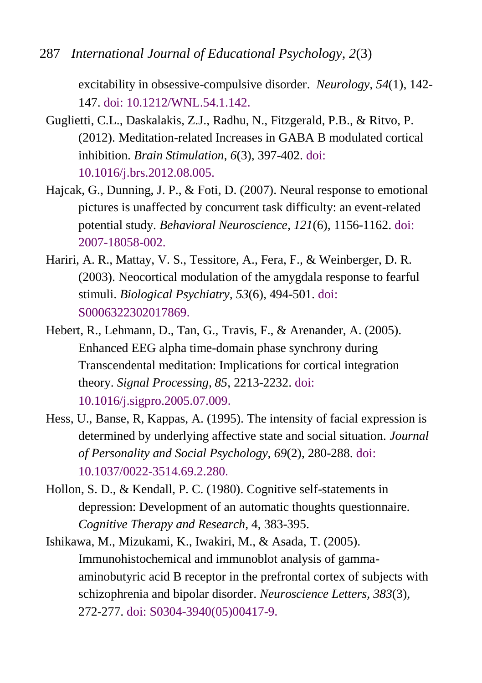287 *International Journal of Educational Psychology, 2*(3)

excitability in obsessive-compulsive disorder. *Neurology, 54*(1), 142- 147. doi: [10.1212/WNL.54.1.142](http://europepmc.org/abstract/MED/10636140).

- <span id="page-18-0"></span>Guglietti, C.L., Daskalakis, Z.J., Radhu, N., Fitzgerald, P.B., & Ritvo, P. (2012). Meditation-related Increases in GABA B modulated cortical inhibition. *Brain Stimulation, 6*(3), 397-402. [doi:](http://www.ncbi.nlm.nih.gov/pubmed/23022436)  [10.1016/j.brs.2012.08.005.](http://www.ncbi.nlm.nih.gov/pubmed/23022436)
- Hajcak, G., Dunning, J. P., & Foti, D. (2007). Neural response to emotional pictures is unaffected by concurrent task difficulty: an event-related potential study. *Behavioral Neuroscience, 121*(6), 1156-1162. [doi:](http://psycnet.apa.org/index.cfm?fa=buy.optionToBuy&uid=2007-18058-002)  [2007-18058-002.](http://psycnet.apa.org/index.cfm?fa=buy.optionToBuy&uid=2007-18058-002)
- Hariri, A. R., Mattay, V. S., Tessitore, A., Fera, F., & Weinberger, D. R. (2003). Neocortical modulation of the amygdala response to fearful stimuli. *Biological Psychiatry, 53*(6), 494-501. [doi:](http://www.biologicalpsychiatryjournal.com/article/S0006-3223(02)01786-9/abstract)  [S0006322302017869](http://www.biologicalpsychiatryjournal.com/article/S0006-3223(02)01786-9/abstract).
- Hebert, R., Lehmann, D., Tan, G., Travis, F., & Arenander, A. (2005). Enhanced EEG alpha time-domain phase synchrony during Transcendental meditation: Implications for cortical integration theory. *Signal Processing, 85*, 2213-2232. [doi:](http://www.totalbrain.ch/?page_id=101)  [10.1016/j.sigpro.2005.07.009](http://www.totalbrain.ch/?page_id=101).
- Hess, U., Banse, R, Kappas, A. (1995). The intensity of facial expression is determined by underlying affective state and social situation. *Journal of Personality and Social Psychology, 69*(2), 280-288. [doi:](http://psycnet.apa.org/index.cfm?fa=buy.optionToBuy&id=1995-43636-001) [10.1037/0022-3514.69.2.280](http://psycnet.apa.org/index.cfm?fa=buy.optionToBuy&id=1995-43636-001).

<span id="page-18-1"></span>Hollon, S. D., & Kendall, P. C. (1980). Cognitive self-statements in depression: Development of an automatic thoughts questionnaire. *Cognitive Therapy and Research*, 4, 383-395.

<span id="page-18-2"></span>Ishikawa, M., Mizukami, K., Iwakiri, M., & Asada, T. (2005). Immunohistochemical and immunoblot analysis of gammaaminobutyric acid B receptor in the prefrontal cortex of subjects with schizophrenia and bipolar disorder. *Neuroscience Letters, 383*(3), 272-277. [doi: S0304-3940\(05\)00417-9](http://www.sciencedirect.com/science/article/pii/S0304394005004179).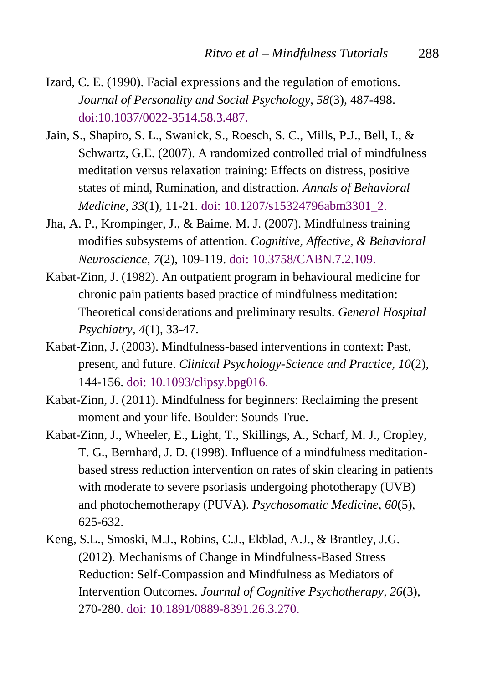- Izard, C. E. (1990). Facial expressions and the regulation of emotions. *Journal of Personality and Social Psychology, 58*(3), 487-498. [doi:10.1037/0022-3514.58.3.487](http://psycnet.apa.org/index.cfm?fa=buy.optionToBuy&id=1990-19722-001).
- <span id="page-19-4"></span>Jain, S., Shapiro, S. L., Swanick, S., Roesch, S. C., Mills, P.J., Bell, I., & Schwartz, G.E. (2007). A randomized controlled trial of mindfulness meditation versus relaxation training: Effects on distress, positive states of mind, Rumination, and distraction. *Annals of Behavioral Medicine, 33*(1), 11-21. [doi: 10.1207/s15324796abm3301\\_2](http://www.ncbi.nlm.nih.gov/pubmed/17291166).
- Jha, A. P., Krompinger, J., & Baime, M. J. (2007). Mindfulness training modifies subsystems of attention. *Cognitive, Affective, & Behavioral Neuroscience, 7*(2), 109-119. [doi: 10.3758/CABN.7.2.109](http://www.amishi.com/lab/assets/pdf/2007_JhaKrompingerBaime.pdf).
- <span id="page-19-0"></span>Kabat-Zinn, J. (1982). An outpatient program in behavioural medicine for chronic pain patients based practice of mindfulness meditation: Theoretical considerations and preliminary results. *General Hospital Psychiatry, 4*(1), 33-47.
- <span id="page-19-1"></span>Kabat-Zinn, J. (2003). Mindfulness-based interventions in context: Past, present, and future. *Clinical Psychology-Science and Practice, 10*(2), 144-156. [doi: 10.1093/clipsy.bpg016](http://www-psych.stanford.edu/~pgoldin/Buddhism/MBSR2003_Kabat-Zinn.pdf).
- <span id="page-19-2"></span>Kabat-Zinn, J. (2011). Mindfulness for beginners: Reclaiming the present moment and your life. Boulder: Sounds True.
- <span id="page-19-3"></span>Kabat-Zinn, J., Wheeler, E., Light, T., Skillings, A., Scharf, M. J., Cropley, T. G., Bernhard, J. D. (1998). Influence of a mindfulness meditationbased stress reduction intervention on rates of skin clearing in patients with moderate to severe psoriasis undergoing phototherapy (UVB) and photochemotherapy (PUVA). *Psychosomatic Medicine, 60*(5), 625-632.
- <span id="page-19-5"></span>Keng, S.L., Smoski, M.J., Robins, C.J., Ekblad, A.J., & Brantley, J.G. (2012). Mechanisms of Change in Mindfulness-Based Stress Reduction: Self-Compassion and Mindfulness as Mediators of Intervention Outcomes. *Journal of Cognitive Psychotherapy, 26*(3), 270-280. [doi: 10.1891/0889-8391.26.3.270.](http://connection.ebscohost.com/c/articles/79369393/mechanisms-change-mindfulness-based-stress-reduction-self-compassion-mindfulness-as-mediators-intervention-outcomes)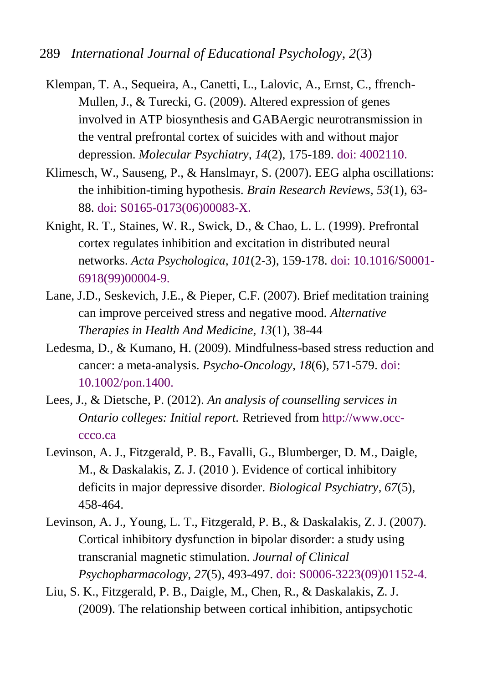- <span id="page-20-3"></span>Klempan, T. A., Sequeira, A., Canetti, L., Lalovic, A., Ernst, C., ffrench-Mullen, J., & Turecki, G. (2009). Altered expression of genes involved in ATP biosynthesis and GABAergic neurotransmission in the ventral prefrontal cortex of suicides with and without major depression. *Molecular Psychiatry, 14*(2), 175-189. [doi: 4002110](http://www.nature.com/mp/journal/v14/n2/abs/4002110a.html).
- Klimesch, W., Sauseng, P., & Hanslmayr, S. (2007). EEG alpha oscillations: the inhibition-timing hypothesis. *Brain Research Reviews, 53*(1), 63- 88. [doi: S0165-0173\(06\)00083-X](http://www.ncbi.nlm.nih.gov/pubmed/16887192).
- Knight, R. T., Staines, W. R., Swick, D., & Chao, L. L. (1999). Prefrontal cortex regulates inhibition and excitation in distributed neural networks. *Acta Psychologica, 101*(2-3), 159-178. [doi: 10.1016/S0001-](http://www.ncbi.nlm.nih.gov/pubmed/10344184) [6918\(99\)00004-9.](http://www.ncbi.nlm.nih.gov/pubmed/10344184)
- <span id="page-20-2"></span>Lane, J.D., Seskevich, J.E., & Pieper, C.F. (2007). Brief meditation training can improve perceived stress and negative mood. *Alternative Therapies in Health And Medicine, 13*(1), 38-44
- <span id="page-20-1"></span>Ledesma, D., & Kumano, H. (2009). Mindfulness-based stress reduction and cancer: a meta-analysis. *Psycho-Oncology, 18*(6), 571-579. [doi:](http://www.ncbi.nlm.nih.gov/pubmed/19023879)  [10.1002/pon.1400.](http://www.ncbi.nlm.nih.gov/pubmed/19023879)
- <span id="page-20-0"></span>Lees, J., & Dietsche, P. (2012). *An analysis of counselling services in Ontario colleges: Initial report.* Retrieved fro[m http://www.occ](http://www.occ-ccco.ca/)[ccco.ca](http://www.occ-ccco.ca/)
- <span id="page-20-4"></span>Levinson, A. J., Fitzgerald, P. B., Favalli, G., Blumberger, D. M., Daigle, M., & Daskalakis, Z. J. (2010 ). Evidence of cortical inhibitory deficits in major depressive disorder. *Biological Psychiatry, 67*(5), 458-464.
- <span id="page-20-5"></span>Levinson, A. J., Young, L. T., Fitzgerald, P. B., & Daskalakis, Z. J. (2007). Cortical inhibitory dysfunction in bipolar disorder: a study using transcranial magnetic stimulation. *Journal of Clinical Psychopharmacology, 27*(5), 493-497. [doi: S0006-3223\(09\)01152-4.](http://europepmc.org/abstract/MED/17873683)
- <span id="page-20-6"></span>Liu, S. K., Fitzgerald, P. B., Daigle, M., Chen, R., & Daskalakis, Z. J. (2009). The relationship between cortical inhibition, antipsychotic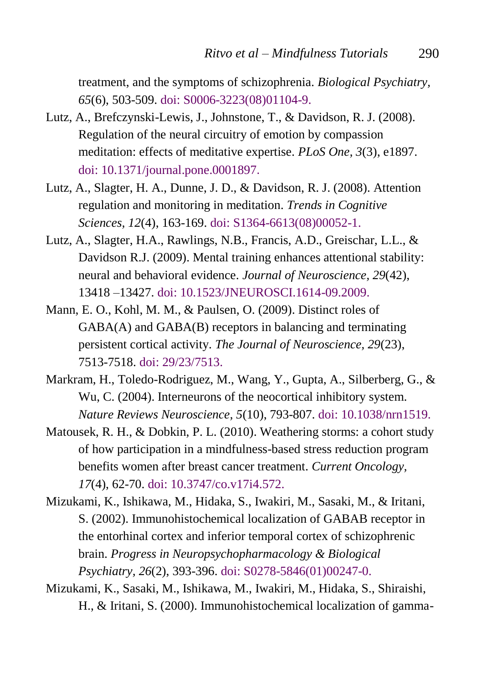treatment, and the symptoms of schizophrenia. *Biological Psychiatry, 65*(6), 503-509. [doi: S0006-3223\(08\)01104-9.](http://www.biologicalpsychiatryjournal.com/article/S0006-3223(08)01104-9/abstract)

- Lutz, A., Brefczynski-Lewis, J., Johnstone, T., & Davidson, R. J. (2008). Regulation of the neural circuitry of emotion by compassion meditation: effects of meditative expertise. *PLoS One, 3*(3), e1897. [doi: 10.1371/journal.pone.0001897](http://www.plosone.org/article/info%3Adoi%2F10.1371%2Fjournal.pone.0001897).
- Lutz, A., Slagter, H. A., Dunne, J. D., & Davidson, R. J. (2008). Attention regulation and monitoring in meditation. *Trends in Cognitive Sciences, 12*(4), 163-169. [doi: S1364-6613\(08\)00052-1.](http://psyphz.psych.wisc.edu/web/pubs/2008/LutzAttention_TCS.pdf)
- <span id="page-21-0"></span>Lutz, A., Slagter, H.A., Rawlings, N.B., Francis, A.D., Greischar, L.L., & Davidson R.J. (2009). Mental training enhances attentional stability: neural and behavioral evidence. *Journal of Neuroscience, 29*(42), 13418 –13427. [doi: 10.1523/JNEUROSCI.1614-09.2009.](http://www.ncbi.nlm.nih.gov/pubmed/19846729)
- Mann, E. O., Kohl, M. M., & Paulsen, O. (2009). Distinct roles of GABA(A) and GABA(B) receptors in balancing and terminating persistent cortical activity. *The Journal of Neuroscience, 29*(23), 7513-7518. [doi: 29/23/7513.](http://www.jneurosci.org/content/29/23/7513.full.pdf)
- Markram, H., Toledo-Rodriguez, M., Wang, Y., Gupta, A., Silberberg, G., & Wu, C. (2004). Interneurons of the neocortical inhibitory system. *Nature Reviews Neuroscience, 5*(10), 793-807. [doi: 10.1038/nrn1519.](http://bluebrain.epfl.ch/files/content/sites/bluebrain/files/Scientific%20Publications/2004%20-%20Interneurons%20of%20the%20neocortical%20inhibitory%20system.pdf)
- Matousek, R. H., & Dobkin, P. L. (2010). Weathering storms: a cohort study of how participation in a mindfulness-based stress reduction program benefits women after breast cancer treatment. *Current Oncology, 17*(4), 62-70. [doi: 10.3747/co.v17i4.572.](http://www.ncbi.nlm.nih.gov/pubmed/20697517)
- <span id="page-21-1"></span>Mizukami, K., Ishikawa, M., Hidaka, S., Iwakiri, M., Sasaki, M., & Iritani, S. (2002). Immunohistochemical localization of GABAB receptor in the entorhinal cortex and inferior temporal cortex of schizophrenic brain. *Progress in Neuropsychopharmacology & Biological Psychiatry, 26*(2), 393-396. [doi: S0278-5846\(01\)00247-0.](http://www.sciencedirect.com/science/article/pii/S0278584601002470)
- <span id="page-21-2"></span>Mizukami, K., Sasaki, M., Ishikawa, M., Iwakiri, M., Hidaka, S., Shiraishi, H., & Iritani, S. (2000). Immunohistochemical localization of gamma-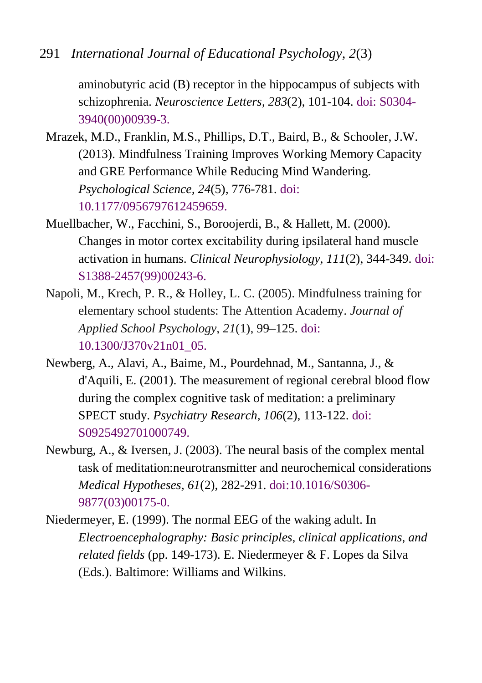291 *International Journal of Educational Psychology, 2*(3)

aminobutyric acid (B) receptor in the hippocampus of subjects with schizophrenia. *Neuroscience Letters, 283*(2), 101-104. [doi: S0304-](http://www.sciencedirect.com/science/article/pii/S0304394000009393) [3940\(00\)00939-3.](http://www.sciencedirect.com/science/article/pii/S0304394000009393)

- <span id="page-22-0"></span>Mrazek, M.D., Franklin, M.S., Phillips, D.T., Baird, B., & Schooler, J.W. (2013). Mindfulness Training Improves Working Memory Capacity and GRE Performance While Reducing Mind Wandering. *Psychological Science, 24*(5), 776-781. [doi:](http://pss.sagepub.com/content/24/5/776.abstract)  [10.1177/0956797612459659.](http://pss.sagepub.com/content/24/5/776.abstract)
- Muellbacher, W., Facchini, S., Boroojerdi, B., & Hallett, M. (2000). Changes in motor cortex excitability during ipsilateral hand muscle activation in humans. *Clinical Neurophysiology, 111*(2), 344-349. [doi:](http://www.clinph-journal.com/article/S1388-2457(99)00243-6/abstract)  [S1388-2457\(99\)00243-6.](http://www.clinph-journal.com/article/S1388-2457(99)00243-6/abstract)
- Napoli, M., Krech, P. R., & Holley, L. C. (2005). Mindfulness training for elementary school students: The Attention Academy. *Journal of Applied School Psychology*, *21*(1), 99–125. [doi:](http://www.tandfonline.com/doi/abs/10.1300/J370v21n01_05#.UmexE_llX3Q)  [10.1300/J370v21n01\\_05.](http://www.tandfonline.com/doi/abs/10.1300/J370v21n01_05#.UmexE_llX3Q)
- Newberg, A., Alavi, A., Baime, M., Pourdehnad, M., Santanna, J., & d'Aquili, E. (2001). The measurement of regional cerebral blood flow during the complex cognitive task of meditation: a preliminary SPECT study. *Psychiatry Research, 106*(2), 113-122. [doi:](http://www.ncbi.nlm.nih.gov/pubmed/11306250)  [S0925492701000749.](http://www.ncbi.nlm.nih.gov/pubmed/11306250)
- <span id="page-22-1"></span>Newburg, A., & Iversen, J. (2003). The neural basis of the complex mental task of meditation:neurotransmitter and neurochemical considerations *Medical Hypotheses, 61*(2), 282-291. [doi:10.1016/S0306-](http://www.cogsci.ucsd.edu/~pineda/COGS175/readings/Newberg.pdf) [9877\(03\)00175-0.](http://www.cogsci.ucsd.edu/~pineda/COGS175/readings/Newberg.pdf)
- Niedermeyer, E. (1999). The normal EEG of the waking adult. In *Electroencephalography: Basic principles, clinical applications, and related fields* (pp. 149-173). E. Niedermeyer & F. Lopes da Silva (Eds.). Baltimore: Williams and Wilkins.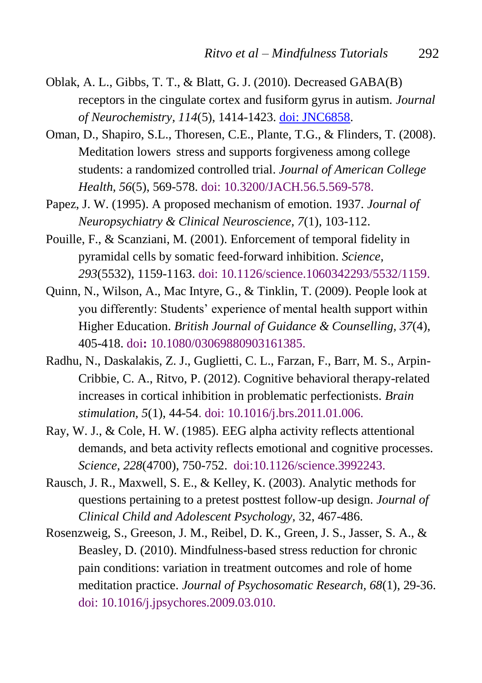- <span id="page-23-3"></span>Oblak, A. L., Gibbs, T. T., & Blatt, G. J. (2010). Decreased GABA(B) receptors in the cingulate cortex and fusiform gyrus in autism. *Journal of Neurochemistry, 114*(5), 1414-1423. [doi: JNC6858.](http://www.ncbi.nlm.nih.gov/pmc/articles/PMC2923229/)
- <span id="page-23-1"></span>Oman, D., Shapiro, S.L., Thoresen, C.E., Plante, T.G., & Flinders, T. (2008). Meditation lowers stress and supports forgiveness among college students: a randomized controlled trial. *Journal of American College Health, 56*(5), 569-578. [doi: 10.3200/JACH.56.5.569-578.](http://www.ncbi.nlm.nih.gov/pubmed/18400671)
- Papez, J. W. (1995). A proposed mechanism of emotion. 1937. *Journal of Neuropsychiatry & Clinical Neuroscience, 7*(1), 103-112.
- Pouille, F., & Scanziani, M. (2001). Enforcement of temporal fidelity in pyramidal cells by somatic feed-forward inhibition. *Science, 293*(5532), 1159-1163. [doi: 10.1126/science.1060342293/5532/1159.](http://www.sciencemag.org/content/293/5532/1159.abstract)
- Quinn, N., Wilson, A., Mac Intyre, G., & Tinklin, T. (2009). People look at you differently: Students' experience of mental health support within Higher Education. *British Journal of Guidance & Counselling, 37*(4), 405-418. doi**:** [10.1080/03069880903161385.](http://www.tandfonline.com/doi/abs/10.1080/03069880903161385#.UmeyG_llX3Q)
- <span id="page-23-0"></span>Radhu, N., Daskalakis, Z. J., Guglietti, C. L., Farzan, F., Barr, M. S., Arpin-Cribbie, C. A., Ritvo, P. (2012). Cognitive behavioral therapy-related increases in cortical inhibition in problematic perfectionists. *Brain stimulation, 5*(1), 44-54. [doi: 10.1016/j.brs.2011.01.006.](http://www.ncbi.nlm.nih.gov/pubmed/22037137)
- Ray, W. J., & Cole, H. W. (1985). EEG alpha activity reflects attentional demands, and beta activity reflects emotional and cognitive processes. *Science, 228*(4700), 750-752. [doi:10.1126/science.3992243.](http://www.sciencemag.org/content/228/4700/750.abstract)
- <span id="page-23-2"></span>Rausch, J. R., Maxwell, S. E., & Kelley, K. (2003). Analytic methods for questions pertaining to a pretest posttest follow-up design. *Journal of Clinical Child and Adolescent Psychology,* 32, 467-486.
- Rosenzweig, S., Greeson, J. M., Reibel, D. K., Green, J. S., Jasser, S. A., & Beasley, D. (2010). Mindfulness-based stress reduction for chronic pain conditions: variation in treatment outcomes and role of home meditation practice. *Journal of Psychosomatic Research, 68*(1), 29-36. [doi: 10.1016/j.jpsychores.2009.03.010.](http://www.ncbi.nlm.nih.gov/pubmed/20004298)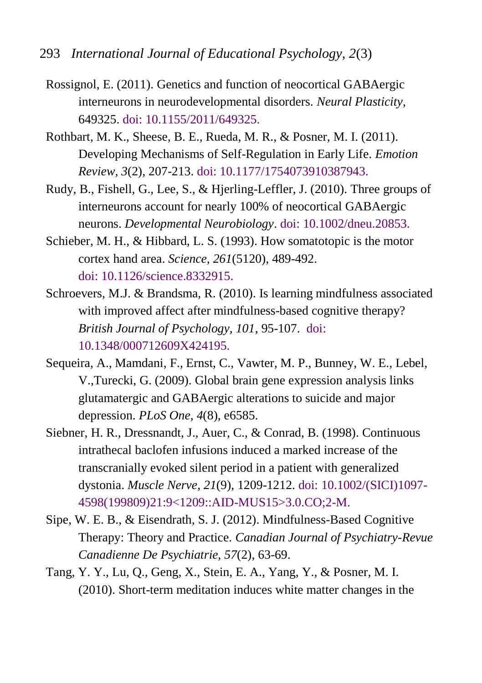- Rossignol, E. (2011). Genetics and function of neocortical GABAergic interneurons in neurodevelopmental disorders. *Neural Plasticity*, 649325. [doi: 10.1155/2011/649325.](http://www.hindawi.com/journals/np/2011/649325/)
- Rothbart, M. K., Sheese, B. E., Rueda, M. R., & Posner, M. I. (2011). Developing Mechanisms of Self-Regulation in Early Life. *Emotion Review, 3*(2), 207-213. [doi: 10.1177/1754073910387943.](http://www.ncbi.nlm.nih.gov/pmc/articles/PMC3164871/)
- Rudy, B., Fishell, G., Lee, S., & Hjerling-Leffler, J. (2010). Three groups of interneurons account for nearly 100% of neocortical GABAergic neurons. *Developmental Neurobiology*. [doi: 10.1002/dneu.20853.](http://www.med.nyu.edu/fishelllab/pdfs/Rudy_et_al.DN11.pdf)
- Schieber, M. H., & Hibbard, L. S. (1993). How somatotopic is the motor cortex hand area. *Science, 261*(5120), 489-492. doi: [10.1126/science.8332915.](http://www.sciencemag.org/content/261/5120/489.refs)
- <span id="page-24-1"></span>Schroevers, M.J. & Brandsma, R. (2010). Is learning mindfulness associated with improved affect after mindfulness-based cognitive therapy? *British Journal of Psychology, 101*, 95-107. [doi:](http://www.ncbi.nlm.nih.gov/pubmed/19327220)  [10.1348/000712609X424195.](http://www.ncbi.nlm.nih.gov/pubmed/19327220)
- <span id="page-24-2"></span>Sequeira, A., Mamdani, F., Ernst, C., Vawter, M. P., Bunney, W. E., Lebel, V.,Turecki, G. (2009). Global brain gene expression analysis links glutamatergic and GABAergic alterations to suicide and major depression. *PLoS One*, *4*(8), e6585.
- Siebner, H. R., Dressnandt, J., Auer, C., & Conrad, B. (1998). Continuous intrathecal baclofen infusions induced a marked increase of the transcranially evoked silent period in a patient with generalized dystonia. *Muscle Nerve, 21*(9), 1209-1212. [doi: 10.1002/\(SICI\)1097-](http://onlinelibrary.wiley.com/doi/10.1002/(SICI)1097-4598(199809)21:9%3C1209::AID-MUS15%3E3.0.CO;2-M/abstract) [4598\(199809\)21:9<1209::AID-MUS15>3.0.CO;2-M.](http://onlinelibrary.wiley.com/doi/10.1002/(SICI)1097-4598(199809)21:9%3C1209::AID-MUS15%3E3.0.CO;2-M/abstract)
- <span id="page-24-0"></span>Sipe, W. E. B., & Eisendrath, S. J. (2012). Mindfulness-Based Cognitive Therapy: Theory and Practice. *Canadian Journal of Psychiatry-Revue Canadienne De Psychiatrie, 57*(2), 63-69.
- Tang, Y. Y., Lu, Q., Geng, X., Stein, E. A., Yang, Y., & Posner, M. I. (2010). Short-term meditation induces white matter changes in the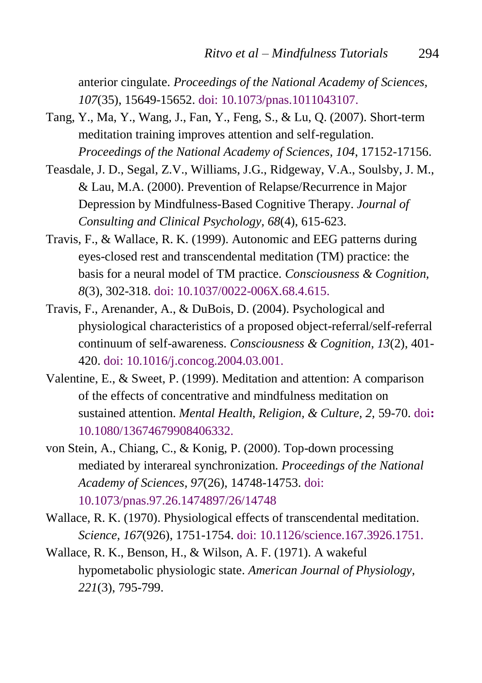anterior cingulate. *Proceedings of the National Academy of Sciences, 107*(35), 15649-15652. [doi: 10.1073/pnas.1011043107.](http://hub.hku.hk/handle/10722/169877)

- Tang, Y., Ma, Y., Wang, J., Fan, Y., Feng, S., & Lu, Q. (2007). Short-term meditation training improves attention and self-regulation. *Proceedings of the National Academy of Sciences, 104*, 17152-17156.
- <span id="page-25-0"></span>Teasdale, J. D., Segal, Z.V., Williams, J.G., Ridgeway, V.A., Soulsby, J. M., & Lau, M.A. (2000). Prevention of Relapse/Recurrence in Major Depression by Mindfulness-Based Cognitive Therapy. *Journal of Consulting and Clinical Psychology, 68*(4), 615-623.
- Travis, F., & Wallace, R. K. (1999). Autonomic and EEG patterns during eyes-closed rest and transcendental meditation (TM) practice: the basis for a neural model of TM practice. *Consciousness & Cognition, 8*(3), 302-318. doi: [10.1037/0022-006X.68.4.615.](http://www.totalbrain.ch/wordpress/wp-content/uploads/2007/05/neural-model.pdf)
- Travis, F., Arenander, A., & DuBois, D. (2004). Psychological and physiological characteristics of a proposed object-referral/self-referral continuum of self-awareness. *Consciousness & Cognition, 13*(2), 401- 420. [doi: 10.1016/j.concog.2004.03.001.](http://www.totalbrain.ch/wordpress/wp-content/uploads/2007/05/eeg-of-enlightenment.pdf)
- Valentine, E., & Sweet, P. (1999). Meditation and attention: A comparison of the effects of concentrative and mindfulness meditation on sustained attention. *Mental Health, Religion, & Culture, 2,* 59-70. [doi](http://psycnet.apa.org/doi/10.1080/13674679908406332)**:** [10.1080/13674679908406332.](http://psycnet.apa.org/doi/10.1080/13674679908406332)
- von Stein, A., Chiang, C., & Konig, P. (2000). Top-down processing mediated by interareal synchronization. *Proceedings of the National Academy of Sciences, 97*(26), 14748-1475[3. doi:](http://www.pnas.org/content/97/26/14748.full)  [10.1073/pnas.97.26.1474897/26/14748](http://www.pnas.org/content/97/26/14748.full)
- Wallace, R. K. (1970). Physiological effects of transcendental meditation. *Science, 167*(926), 1751-1754. [doi: 10.1126/science.167.3926.1751.](http://biblio.noetic.org/search.php?sqlQuery=SELECT%20author%2C%20title%2C%20type%2C%20year%2C%20publication%2C%20abbrev_journal%2C%20volume%2C%20issue%2C%20pages%2C%20keywords%2C%20abstract%2C%20address%2C%20corporate_author%2C%20thesis%2C%20publisher%2C%20place%2C%20editor%2C%20language%2C%20summary_language%2C%20orig_title%2C%20series_editor%2C%20series_title%2C%20abbrev_series_title%2C%20series_volume%2C%20series_issue%2C%20edition%2C%20issn%2C%20isbn%2C%20medium%2C%20area%2C%20expedition%2C%20conference%2C%20notes%2C%20approved%2C%20call_number%2C%20serial%20FROM%20refs%20WHERE%20serial%20%3D%2015158%20ORDER%20BY%20author%2C%20year%20DESC%2C%20publication&client=&formType=sqlSearch&submit=Display&viewType=&showQuery=0&showLinks=1&showRows=5&rowOffset=&wrapResults=1&citeOrder=&citeStyle=APA&exportFormat=RIS&exportType=html&exportStylesheet=&citeType=html&headerMsg=)

Wallace, R. K., Benson, H., & Wilson, A. F. (1971). A wakeful hypometabolic physiologic state. *American Journal of Physiology, 221*(3), 795-799.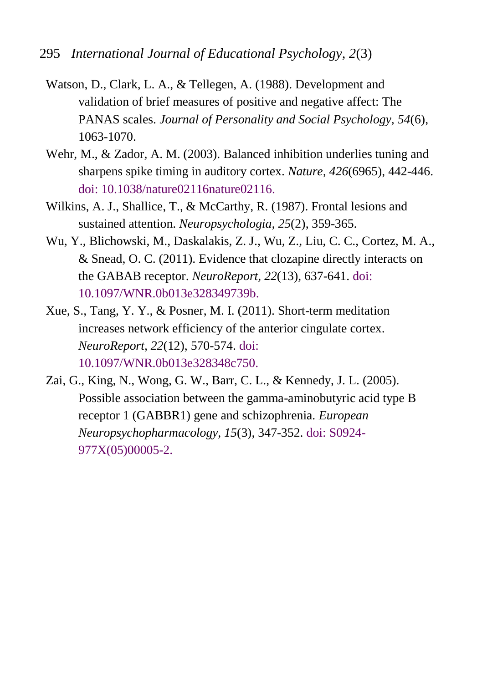- <span id="page-26-0"></span>Watson, D., Clark, L. A., & Tellegen, A. (1988). Development and validation of brief measures of positive and negative affect: The PANAS scales. *Journal of Personality and Social Psychology, 54*(6), 1063-1070.
- Wehr, M., & Zador, A. M. (2003). Balanced inhibition underlies tuning and sharpens spike timing in auditory cortex. *Nature, 426*(6965), 442-446. [doi: 10.1038/nature02116nature02116.](http://www.nature.com/nature/journal/v426/n6965/full/nature02116.html)
- Wilkins, A. J., Shallice, T., & McCarthy, R. (1987). Frontal lesions and sustained attention. *Neuropsychologia, 25*(2), 359-365.
- <span id="page-26-2"></span>Wu, Y., Blichowski, M., Daskalakis, Z. J., Wu, Z., Liu, C. C., Cortez, M. A., & Snead, O. C. (2011). Evidence that clozapine directly interacts on the GABAB receptor. *NeuroReport, 22*(13), 637-641. [doi:](http://europepmc.org/abstract/MED/21753741)  [10.1097/WNR.0b013e328349739b.](http://europepmc.org/abstract/MED/21753741)
- Xue, S., Tang, Y. Y., & Posner, M. I. (2011). Short-term meditation increases network efficiency of the anterior cingulate cortex. *NeuroReport, 22*(12), 570-574. [doi:](http://www.ncbi.nlm.nih.gov/pubmed/21691234)  [10.1097/WNR.0b013e328348c750.](http://www.ncbi.nlm.nih.gov/pubmed/21691234)
- <span id="page-26-1"></span>Zai, G., King, N., Wong, G. W., Barr, C. L., & Kennedy, J. L. (2005). Possible association between the gamma-aminobutyric acid type B receptor 1 (GABBR1) gene and schizophrenia. *European Neuropsychopharmacology, 15*(3), 347-352. [doi: S0924-](http://www.europeanneuropsychopharmacology.com/article/S0924-977X(05)00005-2/abstract) [977X\(05\)00005-2.](http://www.europeanneuropsychopharmacology.com/article/S0924-977X(05)00005-2/abstract)